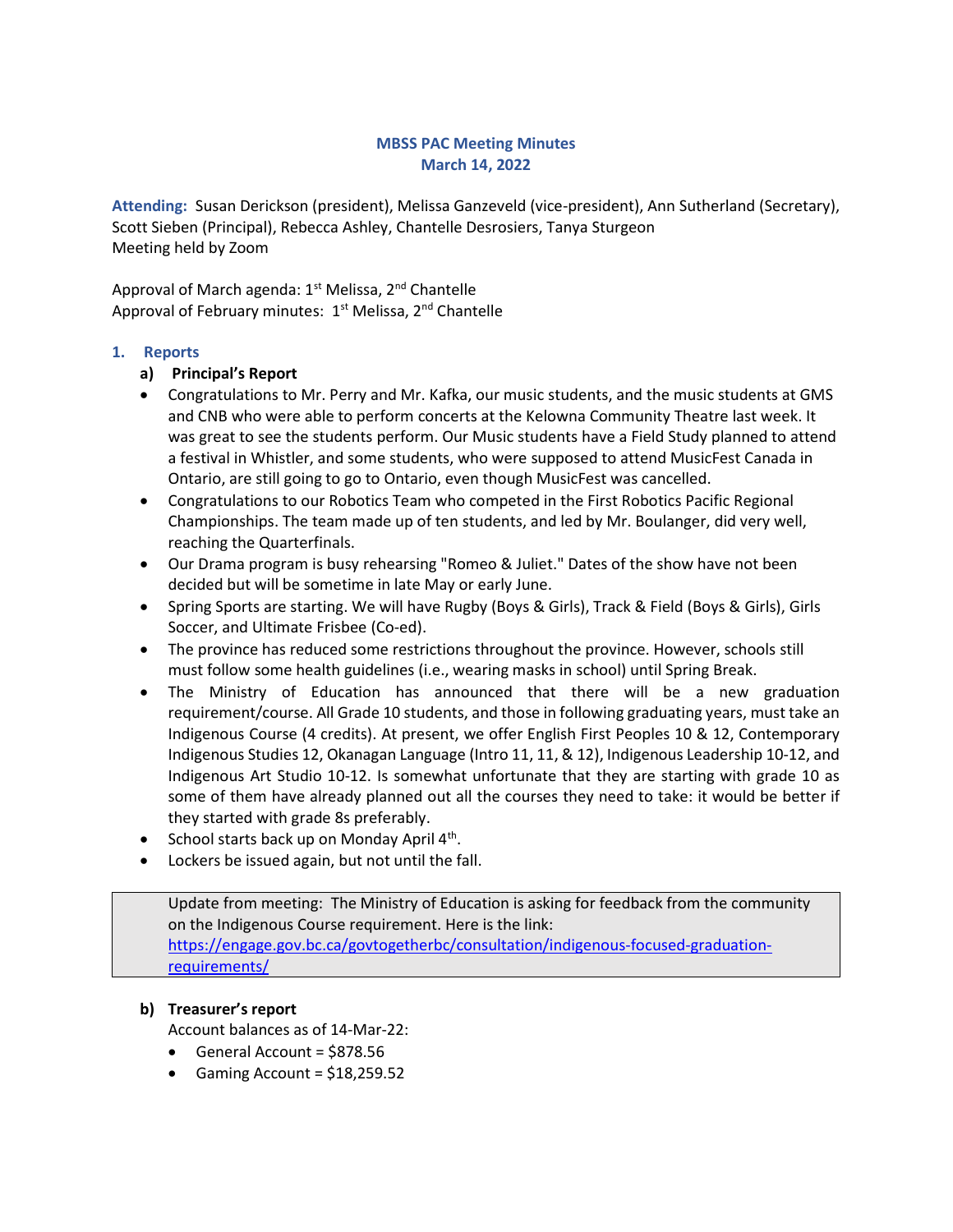### MBSS PAC Meeting Minutes March 14, 2022

Attending: Susan Derickson (president), Melissa Ganzeveld (vice-president), Ann Sutherland (Secretary), Scott Sieben (Principal), Rebecca Ashley, Chantelle Desrosiers, Tanya Sturgeon Meeting held by Zoom

Approval of March agenda: 1<sup>st</sup> Melissa, 2<sup>nd</sup> Chantelle Approval of February minutes: 1<sup>st</sup> Melissa, 2<sup>nd</sup> Chantelle

### 1. Reports

#### a) Principal's Report

- Congratulations to Mr. Perry and Mr. Kafka, our music students, and the music students at GMS and CNB who were able to perform concerts at the Kelowna Community Theatre last week. It was great to see the students perform. Our Music students have a Field Study planned to attend a festival in Whistler, and some students, who were supposed to attend MusicFest Canada in Ontario, are still going to go to Ontario, even though MusicFest was cancelled.
- Congratulations to our Robotics Team who competed in the First Robotics Pacific Regional Championships. The team made up of ten students, and led by Mr. Boulanger, did very well, reaching the Quarterfinals.
- Our Drama program is busy rehearsing "Romeo & Juliet." Dates of the show have not been decided but will be sometime in late May or early June.
- Spring Sports are starting. We will have Rugby (Boys & Girls), Track & Field (Boys & Girls), Girls Soccer, and Ultimate Frisbee (Co-ed).
- The province has reduced some restrictions throughout the province. However, schools still must follow some health guidelines (i.e., wearing masks in school) until Spring Break.
- The Ministry of Education has announced that there will be a new graduation requirement/course. All Grade 10 students, and those in following graduating years, must take an Indigenous Course (4 credits). At present, we offer English First Peoples 10 & 12, Contemporary Indigenous Studies 12, Okanagan Language (Intro 11, 11, & 12), Indigenous Leadership 10-12, and Indigenous Art Studio 10-12. Is somewhat unfortunate that they are starting with grade 10 as some of them have already planned out all the courses they need to take: it would be better if they started with grade 8s preferably.
- School starts back up on Monday April  $4<sup>th</sup>$ .
- Lockers be issued again, but not until the fall.

Update from meeting: The Ministry of Education is asking for feedback from the community on the Indigenous Course requirement. Here is the link: https://engage.gov.bc.ca/govtogetherbc/consultation/indigenous-focused-graduationrequirements/

#### b) Treasurer's report

Account balances as of 14-Mar-22:

- General Account = \$878.56
- Gaming Account =  $$18,259.52$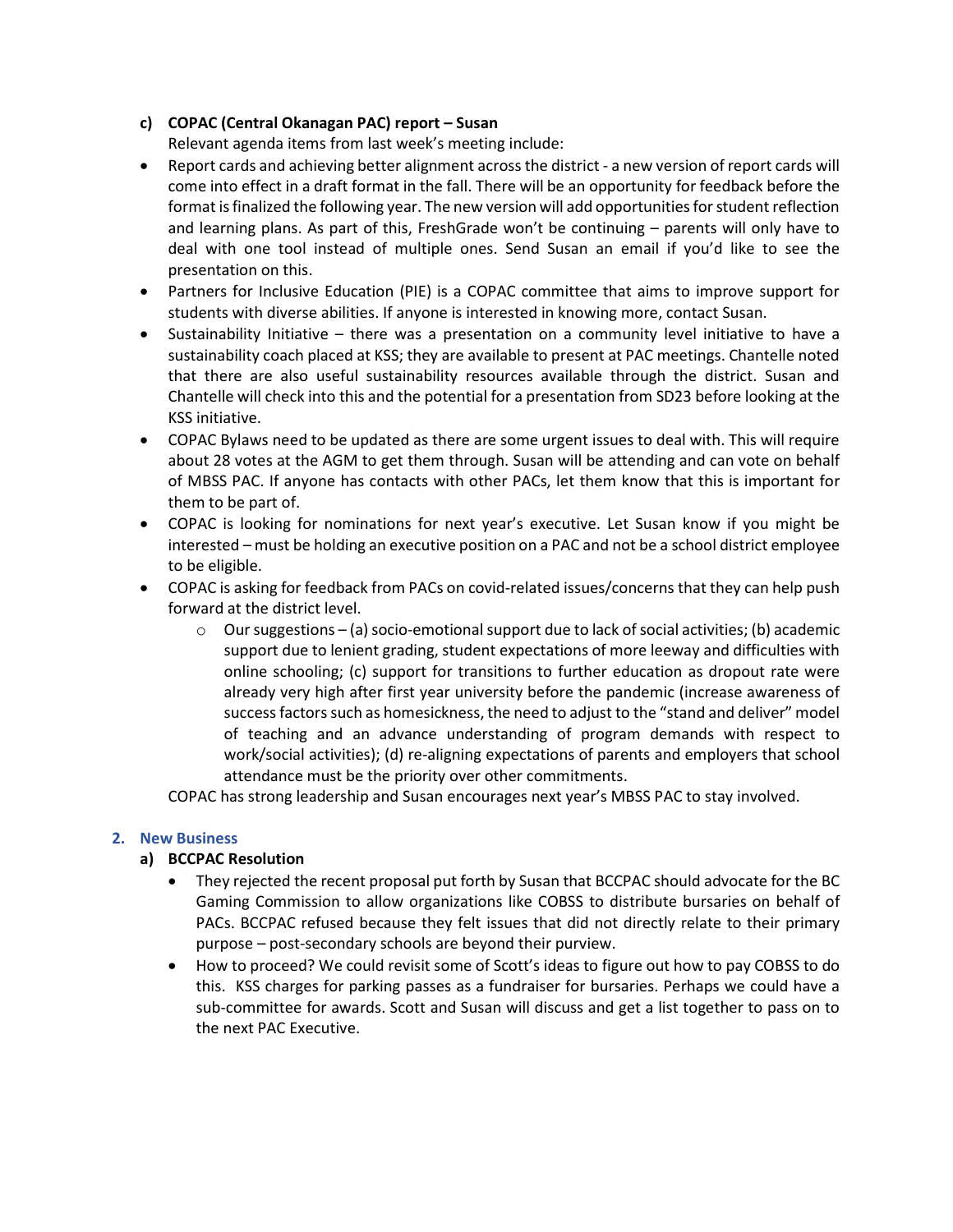# c) COPAC (Central Okanagan PAC) report – Susan

Relevant agenda items from last week's meeting include:

- Report cards and achieving better alignment across the district a new version of report cards will come into effect in a draft format in the fall. There will be an opportunity for feedback before the format is finalized the following year. The new version will add opportunities for student reflection and learning plans. As part of this, FreshGrade won't be continuing – parents will only have to deal with one tool instead of multiple ones. Send Susan an email if you'd like to see the presentation on this.
- Partners for Inclusive Education (PIE) is a COPAC committee that aims to improve support for students with diverse abilities. If anyone is interested in knowing more, contact Susan.
- Sustainability Initiative there was a presentation on a community level initiative to have a sustainability coach placed at KSS; they are available to present at PAC meetings. Chantelle noted that there are also useful sustainability resources available through the district. Susan and Chantelle will check into this and the potential for a presentation from SD23 before looking at the KSS initiative.
- COPAC Bylaws need to be updated as there are some urgent issues to deal with. This will require about 28 votes at the AGM to get them through. Susan will be attending and can vote on behalf of MBSS PAC. If anyone has contacts with other PACs, let them know that this is important for them to be part of.
- COPAC is looking for nominations for next year's executive. Let Susan know if you might be interested – must be holding an executive position on a PAC and not be a school district employee to be eligible.
- COPAC is asking for feedback from PACs on covid-related issues/concerns that they can help push forward at the district level.
	- $\circ$  Our suggestions (a) socio-emotional support due to lack of social activities; (b) academic support due to lenient grading, student expectations of more leeway and difficulties with online schooling; (c) support for transitions to further education as dropout rate were already very high after first year university before the pandemic (increase awareness of success factors such as homesickness, the need to adjust to the "stand and deliver" model of teaching and an advance understanding of program demands with respect to work/social activities); (d) re-aligning expectations of parents and employers that school attendance must be the priority over other commitments.

COPAC has strong leadership and Susan encourages next year's MBSS PAC to stay involved.

# 2. New Business

# a) BCCPAC Resolution

- They rejected the recent proposal put forth by Susan that BCCPAC should advocate for the BC Gaming Commission to allow organizations like COBSS to distribute bursaries on behalf of PACs. BCCPAC refused because they felt issues that did not directly relate to their primary purpose – post-secondary schools are beyond their purview.
- How to proceed? We could revisit some of Scott's ideas to figure out how to pay COBSS to do this. KSS charges for parking passes as a fundraiser for bursaries. Perhaps we could have a sub-committee for awards. Scott and Susan will discuss and get a list together to pass on to the next PAC Executive.